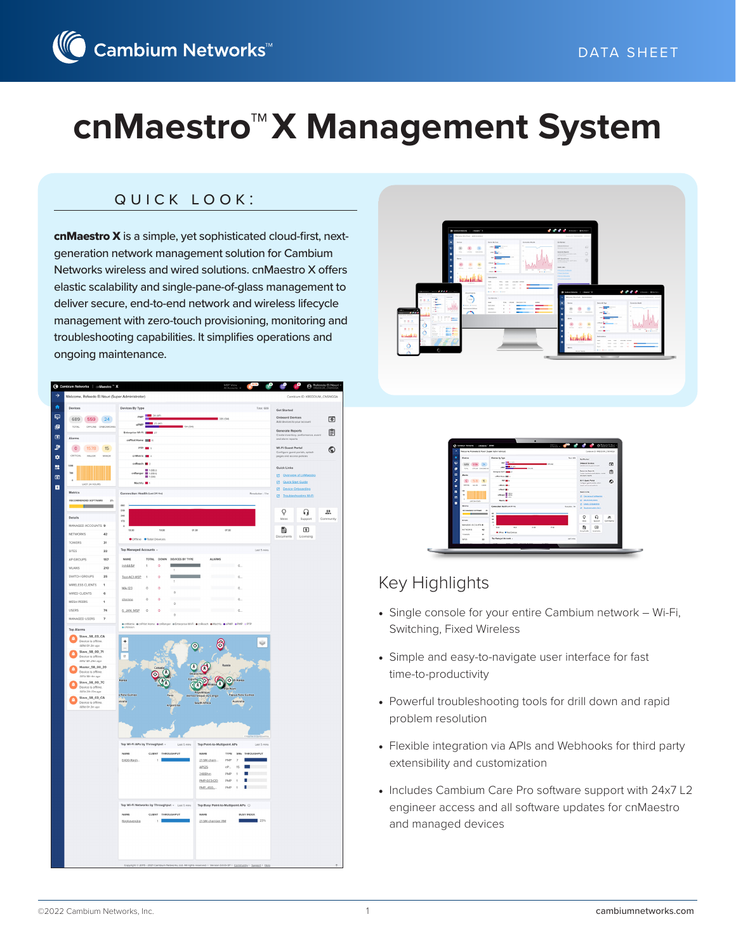## quick look:

cnMaestro X is a simple, yet sophisticated cloud-first, nextgeneration network management solution for Cambium Networks wireless and wired solutions. cnMaestro X offers elastic scalability and single-pane-of-glass management to deliver secure, end-to-end network and wireless lifecycle management with zero-touch provisioning, monitoring and troubleshooting capabilities. It simplifies operations and ongoing maintenance.





| ۰<br>Returns British D New System Americans                                                     |                                                                           | Currence in statistical distinguists.                                          |                  |
|-------------------------------------------------------------------------------------------------|---------------------------------------------------------------------------|--------------------------------------------------------------------------------|------------------|
| ۰<br><b>Restore</b>                                                                             | <b>Bestien By Futer</b><br><b>Box 600</b>                                 | <b>But Northern</b>                                                            |                  |
| ç<br>GHS)                                                                                       | $-200$<br><b>STLON</b><br>$-$<br><b>ARE</b>                               | <b>Graham of The Arms</b><br>Add-Analysis in your account                      | m                |
| ting. Amus contention<br>$\alpha$<br><b>Bank</b>                                                | 10000<br><b>Belleville McP. Mark 11.</b><br>private and a                 | <b>Between Beach</b><br>Costs market with more contri-<br>and shown beautiful. | 团                |
| ö<br>۰<br>catch and a<br><b>SOUTH</b><br>۰                                                      | on and<br><b>CRAN MILL</b>                                                | <b>M.A. Guest Partiel</b><br>Fortune work outstands<br>uses information        | ۵                |
| $\mathbf{u}$<br>$\sim$<br>œ<br>$\alpha$<br>unit landsats<br>o                                   | actions of a<br>$\blacksquare$<br>charge # 1871<br>.<br><b>Washington</b> | Both Kidson<br><b>EX</b> Chronica of ASS antique<br><b>U. Gold Stationers</b>  |                  |
| Monday.<br><b>RECONSIDERED SOFTWARE</b><br>÷                                                    | Consultor Holly Lat 21 Hz<br><b>BUANN TR</b><br>$\sim$                    | <b>E5</b> Crown Grimmidow<br><b>US</b> Deadline(collect No.2)                  |                  |
| <b>Extracts</b>                                                                                 | $\sim$<br>$\rightarrow$<br>$\sim$                                         | Ω<br>Q<br><b>Great</b><br><b>Support</b>                                       | z.<br>Contractor |
| SHOWERS INCOUNTS #<br><b>MTWORKS</b><br>$\bullet$<br><b>STAKERS</b><br>$\overline{\phantom{a}}$ | ٠<br>$-1$<br>$\sim$<br>$\sim$<br>$\sim$<br><b>China Maritanian</b>        | m<br>в<br>Dollar and<br>5. Annuncia                                            |                  |
| za<br>sens.                                                                                     | The Material Accounts -<br>Latitudes:                                     |                                                                                |                  |

# Key Highlights

- Single console for your entire Cambium network Wi-Fi, Switching, Fixed Wireless
- Simple and easy-to-navigate user interface for fast time-to-productivity
- Powerful troubleshooting tools for drill down and rapid problem resolution
- Flexible integration via APIs and Webhooks for third party extensibility and customization
- Includes Cambium Care Pro software support with 24x7 L2 engineer access and all software updates for cnMaestro and managed devices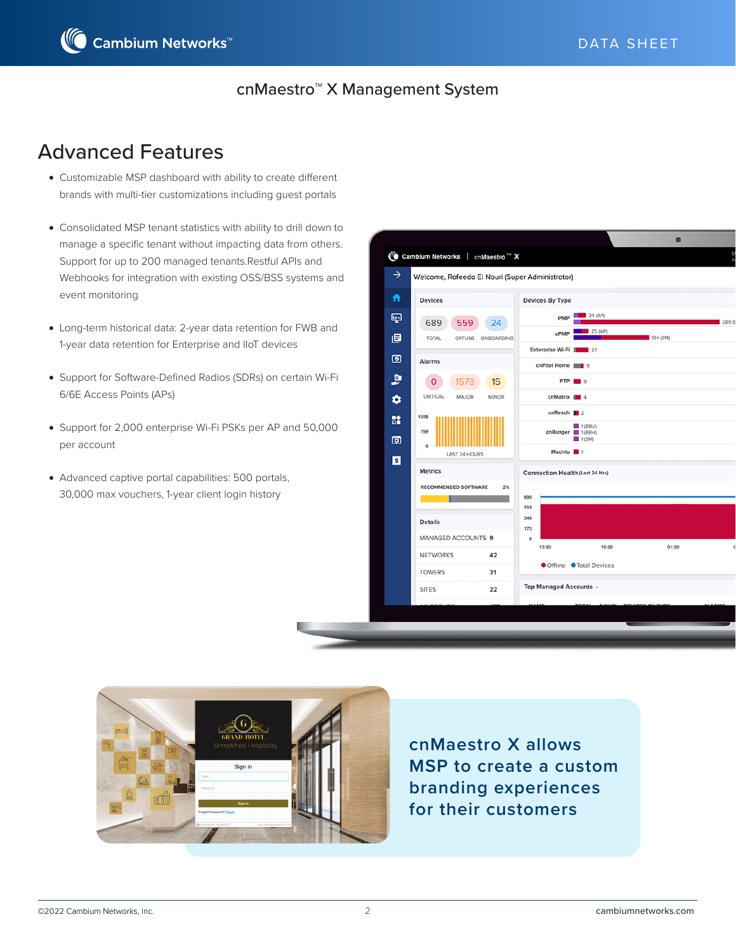

# Advanced Features

- Customizable MSP dashboard with ability to create different brands with multi-tier customizations including guest portals
- Consolidated MSP tenant statistics with ability to drill down to manage a specific tenant without impacting data from others. Support for up to 200 managed tenants.Restful APIs and Webhooks for integration with existing OSS/BSS systems and event monitoring
- Long-term historical data: 2-year data retention for FWB and 1-year data retention for Enterprise and IIoT devices
- Support for Software-Defined Radios (SDRs) on certain Wi-Fi 6/6E Access Points (APs)
- Support for 2,000 enterprise Wi-Fi PSKs per AP and 50,000 per account
- Advanced captive portal capabilities: 500 portals, 30,000 max vouchers, 1-year client login history





**cnMaestro X allows MSP to create a custom branding experiences for their customers**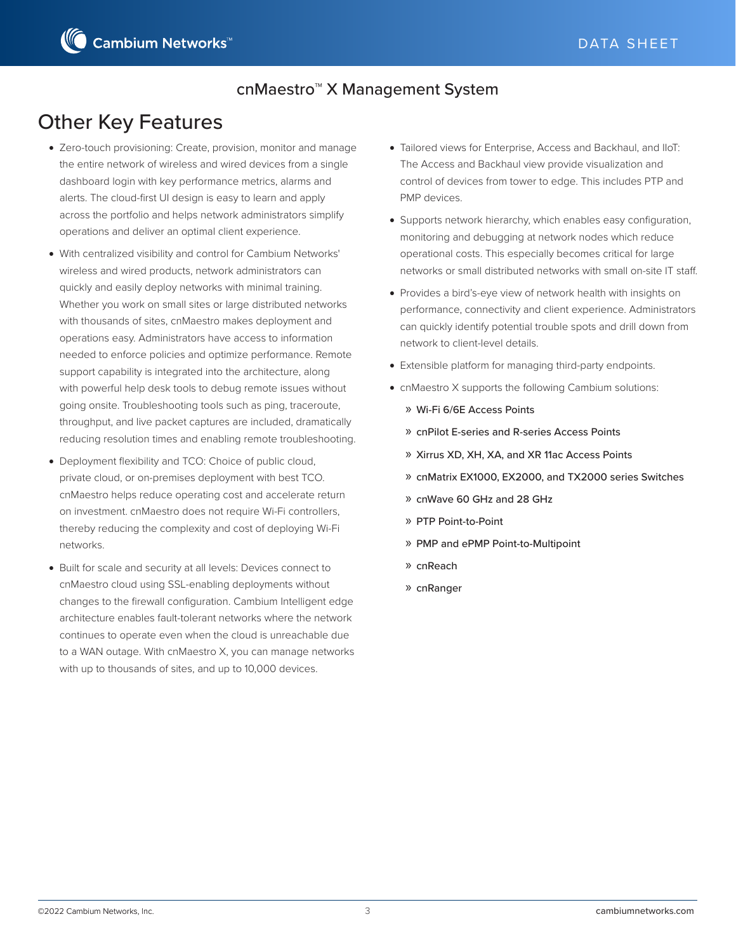# Other Key Features

- Zero-touch provisioning: Create, provision, monitor and manage the entire network of wireless and wired devices from a single dashboard login with key performance metrics, alarms and alerts. The cloud-first UI design is easy to learn and apply across the portfolio and helps network administrators simplify operations and deliver an optimal client experience.
- With centralized visibility and control for Cambium Networks' wireless and wired products, network administrators can quickly and easily deploy networks with minimal training. Whether you work on small sites or large distributed networks with thousands of sites, cnMaestro makes deployment and operations easy. Administrators have access to information needed to enforce policies and optimize performance. Remote support capability is integrated into the architecture, along with powerful help desk tools to debug remote issues without going onsite. Troubleshooting tools such as ping, traceroute, throughput, and live packet captures are included, dramatically reducing resolution times and enabling remote troubleshooting.
- Deployment flexibility and TCO: Choice of public cloud, private cloud, or on-premises deployment with best TCO. cnMaestro helps reduce operating cost and accelerate return on investment. cnMaestro does not require Wi-Fi controllers, thereby reducing the complexity and cost of deploying Wi-Fi networks.
- Built for scale and security at all levels: Devices connect to cnMaestro cloud using SSL-enabling deployments without changes to the firewall configuration. Cambium Intelligent edge architecture enables fault-tolerant networks where the network continues to operate even when the cloud is unreachable due to a WAN outage. With cnMaestro X, you can manage networks with up to thousands of sites, and up to 10,000 devices.
- Tailored views for Enterprise, Access and Backhaul, and IIoT: The Access and Backhaul view provide visualization and control of devices from tower to edge. This includes PTP and PMP devices.
- Supports network hierarchy, which enables easy configuration, monitoring and debugging at network nodes which reduce operational costs. This especially becomes critical for large networks or small distributed networks with small on-site IT staff.
- Provides a bird's-eye view of network health with insights on performance, connectivity and client experience. Administrators can quickly identify potential trouble spots and drill down from network to client-level details.
- Extensible platform for managing third-party endpoints.
- cnMaestro X supports the following Cambium solutions:
	- » Wi-Fi 6/6E Access Points
	- » cnPilot E-series and R-series Access Points
	- » Xirrus XD, XH, XA, and XR 11ac Access Points
	- » cnMatrix EX1000, EX2000, and TX2000 series Switches
	- » cnWave 60 GHz and 28 GHz
	- » PTP Point-to-Point
	- » PMP and ePMP Point-to-Multipoint
	- » cnReach
	- » cnRanger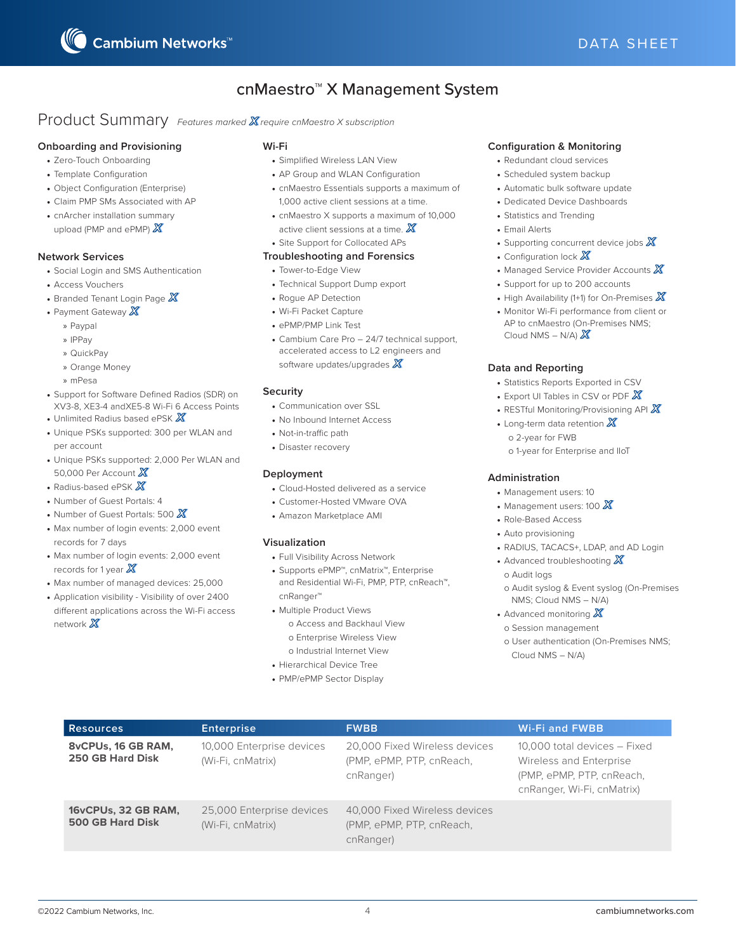

### Product Summary *Features marked X require cnMaestro X subscription*

#### **Onboarding and Provisioning**

- Zero-Touch Onboarding
- Template Configuration
- Object Configuration (Enterprise)
- Claim PMP SMs Associated with AP
- cnArcher installation summary upload (PMP and ePMP) X

#### **Network Services**

- Social Login and SMS Authentication
- Access Vouchers
- Branded Tenant Login Page  $X$
- Payment Gateway  $X$ 
	- » Paypal
	- » IPPay
	- » QuickPay
	- » Orange Money
	- » mPesa
- Support for Software Defined Radios (SDR) on XV3-8, XE3-4 andXE5-8 Wi-Fi 6 Access Points
- Unlimited Radius based ePSK  $\mathbb X$
- Unique PSKs supported: 300 per WLAN and per account
- Unique PSKs supported: 2,000 Per WLAN and 50,000 Per Account X
- Radius-based ePSK  $\mathbb X$
- Number of Guest Portals: 4
- Number of Guest Portals: 500  $\chi$
- Max number of login events: 2,000 event records for 7 days
- Max number of login events: 2,000 event records for 1 year  $X$
- Max number of managed devices: 25,000
- Application visibility Visibility of over 2400 different applications across the Wi-Fi access network  $\mathbb{X}$

#### **Wi-Fi**

- Simplified Wireless LAN View
- AP Group and WLAN Configuration
- cnMaestro Essentials supports a maximum of 1,000 active client sessions at a time.
- cnMaestro X supports a maximum of 10,000 active client sessions at a time.  $X$
- Site Support for Collocated APs

#### **Troubleshooting and Forensics**

- Tower-to-Edge View
- Technical Support Dump export
- Rogue AP Detection
- Wi-Fi Packet Capture
- ePMP/PMP Link Test
- Cambium Care Pro 24/7 technical support, accelerated access to L2 engineers and software updates/upgrades  $X$

#### **Security**

- Communication over SSL
- No Inbound Internet Access
- Not-in-traffic path
- Disaster recovery

#### **Deployment**

- Cloud-Hosted delivered as a service
- Customer-Hosted VMware OVA
- Amazon Marketplace AMI

#### **Visualization**

- Full Visibility Across Network
- Supports ePMP™, cnMatrix™, Enterprise and Residential Wi-Fi, PMP, PTP, cnReach™, cnRanger™
- Multiple Product Views
- o Access and Backhaul View o Enterprise Wireless View
- o Industrial Internet View
- Hierarchical Device Tree
- 
- PMP/ePMP Sector Display

#### **Configuration & Monitoring**

- Redundant cloud services
- Scheduled system backup
- Automatic bulk software update
- Dedicated Device Dashboards
- Statistics and Trending
- Email Alerts
- Supporting concurrent device jobs  $X$
- Configuration lock  $\mathbb X$
- Managed Service Provider Accounts  $\chi$
- Support for up to 200 accounts
- High Availability (1+1) for On-Premises  $X$
- Monitor Wi-Fi performance from client or AP to cnMaestro (On-Premises NMS; Cloud NMS – N/A)  $X$

#### **Data and Reporting**

- Statistics Reports Exported in CSV
- Export UI Tables in CSV or PDF  $\chi$
- RESTful Monitoring/Provisioning API  $X$
- Long-term data retention  $X$ o 2-year for FWB o 1-year for Enterprise and IIoT

#### **Administration**

- Management users: 10
- Management users: 100  $\chi$
- Role-Based Access
- Auto provisioning
- RADIUS, TACACS+, LDAP, and AD Login
- Advanced troubleshooting  $X$ o Audit logs
	- o Audit syslog & Event syslog (On-Premises NMS; Cloud NMS – N/A)
- Advanced monitoring  $X$ o Session management
- o User authentication (On-Premises NMS; Cloud NMS – N/A)

| <b>Resources</b>                               | <b>Enterprise</b>                              | <b>FWBB</b>                                                             | <b>Wi-Fi and FWBB</b>                                                                                              |
|------------------------------------------------|------------------------------------------------|-------------------------------------------------------------------------|--------------------------------------------------------------------------------------------------------------------|
| 8vCPUs, 16 GB RAM,<br>250 GB Hard Disk         | 10,000 Enterprise devices<br>(Wi-Fi, cnMatrix) | 20,000 Fixed Wireless devices<br>(PMP, ePMP, PTP, cnReach,<br>cnRanger) | 10,000 total devices - Fixed<br>Wireless and Enterprise<br>(PMP, ePMP, PTP, cnReach,<br>cnRanger, Wi-Fi, cnMatrix) |
| 16vCPUs, 32 GB RAM,<br><b>500 GB Hard Disk</b> | 25,000 Enterprise devices<br>(Wi-Fi, cnMatrix) | 40,000 Fixed Wireless devices<br>(PMP, ePMP, PTP, cnReach,<br>cnRanger) |                                                                                                                    |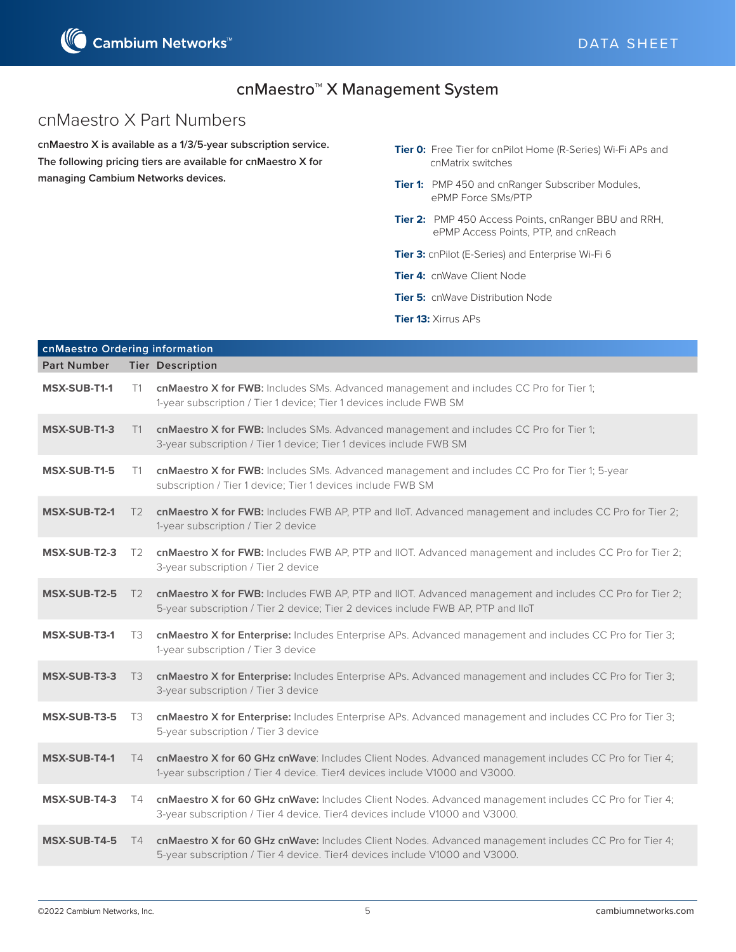

# cnMaestro X Part Numbers

**cnMaestro X is available as a 1/3/5-year subscription service. The following pricing tiers are available for cnMaestro X for managing Cambium Networks devices.**

- **Tier 0:** Free Tier for cnPilot Home (R-Series) Wi-Fi APs and cnMatrix switches
- **Tier 1:** PMP 450 and cnRanger Subscriber Modules, ePMP Force SMs/PTP
- **Tier 2:** PMP 450 Access Points, cnRanger BBU and RRH, ePMP Access Points, PTP, and cnReach
- **Tier 3:** cnPilot (E-Series) and Enterprise Wi-Fi 6
- **Tier 4:** cnWave Client Node
- **Tier 5:** cnWave Distribution Node
- **Tier 13:** Xirrus APs

| cnMaestro Ordering information |                |                                                                                                                                                                                             |  |  |
|--------------------------------|----------------|---------------------------------------------------------------------------------------------------------------------------------------------------------------------------------------------|--|--|
| <b>Part Number</b>             |                | <b>Tier Description</b>                                                                                                                                                                     |  |  |
| <b>MSX-SUB-T1-1</b>            | T1             | cnMaestro X for FWB: Includes SMs. Advanced management and includes CC Pro for Tier 1;<br>1-year subscription / Tier 1 device; Tier 1 devices include FWB SM                                |  |  |
| MSX-SUB-T1-3                   | T1             | cnMaestro X for FWB: Includes SMs. Advanced management and includes CC Pro for Tier 1;<br>3-year subscription / Tier 1 device; Tier 1 devices include FWB SM                                |  |  |
| MSX-SUB-T1-5                   | T1             | cnMaestro X for FWB: Includes SMs. Advanced management and includes CC Pro for Tier 1; 5-year<br>subscription / Tier 1 device; Tier 1 devices include FWB SM                                |  |  |
| <b>MSX-SUB-T2-1</b>            | T <sub>2</sub> | cnMaestro X for FWB: Includes FWB AP, PTP and IIoT. Advanced management and includes CC Pro for Tier 2;<br>1-year subscription / Tier 2 device                                              |  |  |
| MSX-SUB-T2-3                   | T <sub>2</sub> | cnMaestro X for FWB: Includes FWB AP, PTP and IIOT. Advanced management and includes CC Pro for Tier 2;<br>3-year subscription / Tier 2 device                                              |  |  |
| <b>MSX-SUB-T2-5</b>            | T <sub>2</sub> | cnMaestro X for FWB: Includes FWB AP, PTP and IIOT. Advanced management and includes CC Pro for Tier 2;<br>5-year subscription / Tier 2 device; Tier 2 devices include FWB AP, PTP and IloT |  |  |
| <b>MSX-SUB-T3-1</b>            | T3             | cnMaestro X for Enterprise: Includes Enterprise APs. Advanced management and includes CC Pro for Tier 3;<br>1-year subscription / Tier 3 device                                             |  |  |
| MSX-SUB-T3-3                   | T3             | cnMaestro X for Enterprise: Includes Enterprise APs. Advanced management and includes CC Pro for Tier 3;<br>3-year subscription / Tier 3 device                                             |  |  |
| MSX-SUB-T3-5                   | T3             | cnMaestro X for Enterprise: Includes Enterprise APs. Advanced management and includes CC Pro for Tier 3;<br>5-year subscription / Tier 3 device                                             |  |  |
| <b>MSX-SUB-T4-1</b>            | T4             | cnMaestro X for 60 GHz cnWave: Includes Client Nodes. Advanced management includes CC Pro for Tier 4;<br>1-year subscription / Tier 4 device. Tier4 devices include V1000 and V3000.        |  |  |
| MSX-SUB-T4-3                   | T4             | cnMaestro X for 60 GHz cnWave: Includes Client Nodes. Advanced management includes CC Pro for Tier 4;<br>3-year subscription / Tier 4 device. Tier4 devices include V1000 and V3000.        |  |  |
| MSX-SUB-T4-5                   | T4             | cnMaestro X for 60 GHz cnWave: Includes Client Nodes. Advanced management includes CC Pro for Tier 4;<br>5-year subscription / Tier 4 device. Tier4 devices include V1000 and V3000.        |  |  |